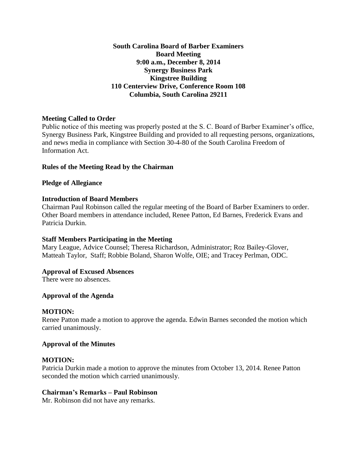**South Carolina Board of Barber Examiners Board Meeting 9:00 a.m., December 8, 2014 Synergy Business Park Kingstree Building 110 Centerview Drive, Conference Room 108 Columbia, South Carolina 29211**

## **Meeting Called to Order**

Public notice of this meeting was properly posted at the S. C. Board of Barber Examiner's office, Synergy Business Park, Kingstree Building and provided to all requesting persons, organizations, and news media in compliance with Section 30-4-80 of the South Carolina Freedom of Information Act.

## **Rules of the Meeting Read by the Chairman**

### **Pledge of Allegiance**

## **Introduction of Board Members**

Chairman Paul Robinson called the regular meeting of the Board of Barber Examiners to order. Other Board members in attendance included, Renee Patton, Ed Barnes, Frederick Evans and Patricia Durkin.

### **Staff Members Participating in the Meeting**

Mary League, Advice Counsel; Theresa Richardson, Administrator; Roz Bailey-Glover, Matteah Taylor, Staff; Robbie Boland, Sharon Wolfe, OIE; and Tracey Perlman, ODC.

### **Approval of Excused Absences**

There were no absences.

### **Approval of the Agenda**

### **MOTION:**

Renee Patton made a motion to approve the agenda. Edwin Barnes seconded the motion which carried unanimously.

### **Approval of the Minutes**

### **MOTION:**

Patricia Durkin made a motion to approve the minutes from October 13, 2014. Renee Patton seconded the motion which carried unanimously.

### **Chairman's Remarks – Paul Robinson**

Mr. Robinson did not have any remarks.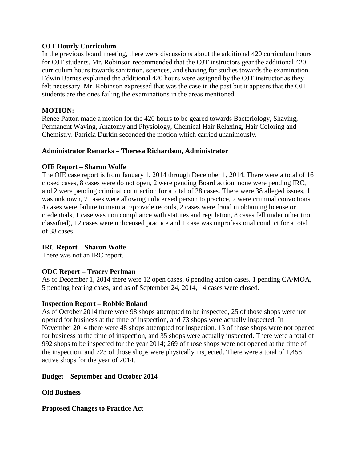### **OJT Hourly Curriculum**

In the previous board meeting, there were discussions about the additional 420 curriculum hours for OJT students. Mr. Robinson recommended that the OJT instructors gear the additional 420 curriculum hours towards sanitation, sciences, and shaving for studies towards the examination. Edwin Barnes explained the additional 420 hours were assigned by the OJT instructor as they felt necessary. Mr. Robinson expressed that was the case in the past but it appears that the OJT students are the ones failing the examinations in the areas mentioned.

## **MOTION:**

Renee Patton made a motion for the 420 hours to be geared towards Bacteriology, Shaving, Permanent Waving, Anatomy and Physiology, Chemical Hair Relaxing, Hair Coloring and Chemistry. Patricia Durkin seconded the motion which carried unanimously.

## **Administrator Remarks – Theresa Richardson, Administrator**

### **OIE Report – Sharon Wolfe**

The OIE case report is from January 1, 2014 through December 1, 2014. There were a total of 16 closed cases, 8 cases were do not open, 2 were pending Board action, none were pending IRC, and 2 were pending criminal court action for a total of 28 cases. There were 38 alleged issues, 1 was unknown, 7 cases were allowing unlicensed person to practice, 2 were criminal convictions, 4 cases were failure to maintain/provide records, 2 cases were fraud in obtaining license or credentials, 1 case was non compliance with statutes and regulation, 8 cases fell under other (not classified), 12 cases were unlicensed practice and 1 case was unprofessional conduct for a total of 38 cases.

# **IRC Report – Sharon Wolfe**

There was not an IRC report.

### **ODC Report – Tracey Perlman**

As of December 1, 2014 there were 12 open cases, 6 pending action cases, 1 pending CA/MOA, 5 pending hearing cases, and as of September 24, 2014, 14 cases were closed.

### **Inspection Report – Robbie Boland**

As of October 2014 there were 98 shops attempted to be inspected, 25 of those shops were not opened for business at the time of inspection, and 73 shops were actually inspected. In November 2014 there were 48 shops attempted for inspection, 13 of those shops were not opened for business at the time of inspection, and 35 shops were actually inspected. There were a total of 992 shops to be inspected for the year 2014; 269 of those shops were not opened at the time of the inspection, and 723 of those shops were physically inspected. There were a total of 1,458 active shops for the year of 2014.

### **Budget – September and October 2014**

**Old Business**

**Proposed Changes to Practice Act**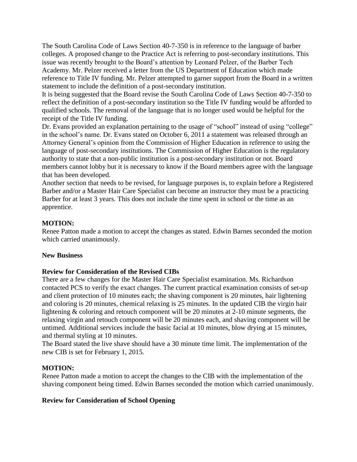The South Carolina Code of Laws Section 40-7-350 is in reference to the language of barber colleges. A proposed change to the Practice Act is referring to post-secondary institutions. This issue was recently brought to the Board's attention by Leonard Pelzer, of the Barber Tech Academy. Mr. Pelzer received a letter from the US Department of Education which made reference to Title IV funding. Mr. Pelzer attempted to garner support from the Board in a written statement to include the definition of a post-secondary institution.

It is being suggested that the Board revise the South Carolina Code of Laws Section 40-7-350 to reflect the definition of a post-secondary institution so the Title IV funding would be afforded to qualified schools. The removal of the language that is no longer used would be helpful for the receipt of the Title IV funding.

Dr. Evans provided an explanation pertaining to the usage of "school" instead of using "college" in the school's name. Dr. Evans stated on October 6, 2011 a statement was released through an Attorney General's opinion from the Commission of Higher Education in reference to using the language of post-secondary institutions. The Commission of Higher Education is the regulatory authority to state that a non-public institution is a post-secondary institution or not. Board members cannot lobby but it is necessary to know if the Board members agree with the language that has been developed.

Another section that needs to be revised, for language purposes is, to explain before a Registered Barber and/or a Master Hair Care Specialist can become an instructor they must be a practicing Barber for at least 3 years. This does not include the time spent in school or the time as an apprentice.

## **MOTION:**

Renee Patton made a motion to accept the changes as stated. Edwin Barnes seconded the motion which carried unanimously.

### **New Business**

### **Review for Consideration of the Revised CIBs**

There are a few changes for the Master Hair Care Specialist examination. Ms. Richardson contacted PCS to verify the exact changes. The current practical examination consists of set-up and client protection of 10 minutes each; the shaving component is 20 minutes, hair lightening and coloring is 20 minutes, chemical relaxing is 25 minutes. In the updated CIB the virgin hair lightening & coloring and retouch component will be 20 minutes at 2-10 minute segments, the relaxing virgin and retouch component will be 20 minutes each, and shaving component will be untimed. Additional services include the basic facial at 10 minutes, blow drying at 15 minutes, and thermal styling at 10 minutes.

The Board stated the live shave should have a 30 minute time limit. The implementation of the new CIB is set for February 1, 2015.

### **MOTION:**

Renee Patton made a motion to accept the changes to the CIB with the implementation of the shaving component being timed. Edwin Barnes seconded the motion which carried unanimously.

### **Review for Consideration of School Opening**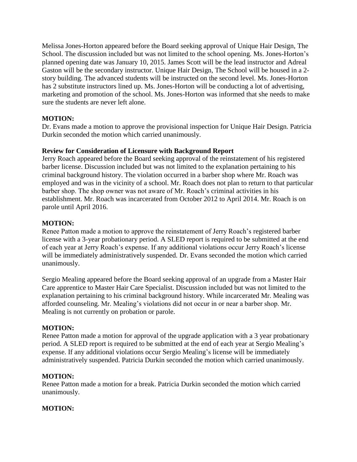Melissa Jones-Horton appeared before the Board seeking approval of Unique Hair Design, The School. The discussion included but was not limited to the school opening. Ms. Jones-Horton's planned opening date was January 10, 2015. James Scott will be the lead instructor and Adreal Gaston will be the secondary instructor. Unique Hair Design, The School will be housed in a 2 story building. The advanced students will be instructed on the second level. Ms. Jones-Horton has 2 substitute instructors lined up. Ms. Jones-Horton will be conducting a lot of advertising, marketing and promotion of the school. Ms. Jones-Horton was informed that she needs to make sure the students are never left alone.

# **MOTION:**

Dr. Evans made a motion to approve the provisional inspection for Unique Hair Design. Patricia Durkin seconded the motion which carried unanimously.

## **Review for Consideration of Licensure with Background Report**

Jerry Roach appeared before the Board seeking approval of the reinstatement of his registered barber license. Discussion included but was not limited to the explanation pertaining to his criminal background history. The violation occurred in a barber shop where Mr. Roach was employed and was in the vicinity of a school. Mr. Roach does not plan to return to that particular barber shop. The shop owner was not aware of Mr. Roach's criminal activities in his establishment. Mr. Roach was incarcerated from October 2012 to April 2014. Mr. Roach is on parole until April 2016.

## **MOTION:**

Renee Patton made a motion to approve the reinstatement of Jerry Roach's registered barber license with a 3-year probationary period. A SLED report is required to be submitted at the end of each year at Jerry Roach's expense. If any additional violations occur Jerry Roach's license will be immediately administratively suspended. Dr. Evans seconded the motion which carried unanimously.

Sergio Mealing appeared before the Board seeking approval of an upgrade from a Master Hair Care apprentice to Master Hair Care Specialist. Discussion included but was not limited to the explanation pertaining to his criminal background history. While incarcerated Mr. Mealing was afforded counseling. Mr. Mealing's violations did not occur in or near a barber shop. Mr. Mealing is not currently on probation or parole.

# **MOTION:**

Renee Patton made a motion for approval of the upgrade application with a 3 year probationary period. A SLED report is required to be submitted at the end of each year at Sergio Mealing's expense. If any additional violations occur Sergio Mealing's license will be immediately administratively suspended. Patricia Durkin seconded the motion which carried unanimously.

### **MOTION:**

Renee Patton made a motion for a break. Patricia Durkin seconded the motion which carried unanimously.

# **MOTION:**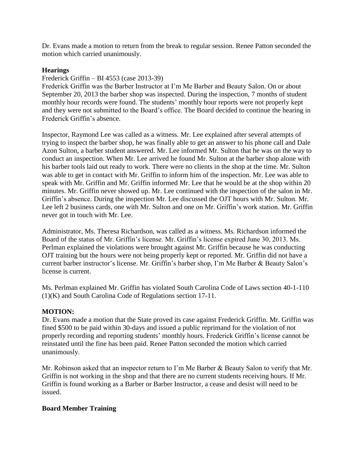Dr. Evans made a motion to return from the break to regular session. Renee Patton seconded the motion which carried unanimously.

### **Hearings**

### Frederick Griffin – BI 4553 (case 2013-39)

Frederick Griffin was the Barber Instructor at I'm Me Barber and Beauty Salon. On or about September 20, 2013 the barber shop was inspected. During the inspection, 7 months of student monthly hour records were found. The students' monthly hour reports were not properly kept and they were not submitted to the Board's office. The Board decided to continue the hearing in Frederick Griffin's absence.

Inspector, Raymond Lee was called as a witness. Mr. Lee explained after several attempts of trying to inspect the barber shop, he was finally able to get an answer to his phone call and Dale Azon Sulton, a barber student answered. Mr. Lee informed Mr. Sulton that he was on the way to conduct an inspection. When Mr. Lee arrived he found Mr. Sulton at the barber shop alone with his barber tools laid out ready to work. There were no clients in the shop at the time. Mr. Sulton was able to get in contact with Mr. Griffin to inform him of the inspection. Mr. Lee was able to speak with Mr. Griffin and Mr. Griffin informed Mr. Lee that he would be at the shop within 20 minutes. Mr. Griffin never showed up. Mr. Lee continued with the inspection of the salon in Mr. Griffin's absence. During the inspection Mr. Lee discussed the OJT hours with Mr. Sulton. Mr. Lee left 2 business cards, one with Mr. Sulton and one on Mr. Griffin's work station. Mr. Griffin never got in touch with Mr. Lee.

Administrator, Ms. Theresa Richardson, was called as a witness. Ms. Richardson informed the Board of the status of Mr. Griffin's license. Mr. Griffin's license expired June 30, 2013. Ms. Perlman explained the violations were brought against Mr. Griffin because he was conducting OJT training but the hours were not being properly kept or reported. Mr. Griffin did not have a current barber instructor's license. Mr. Griffin's barber shop, I'm Me Barber & Beauty Salon's license is current.

Ms. Perlman explained Mr. Griffin has violated South Carolina Code of Laws section 40-1-110 (1)(K) and South Carolina Code of Regulations section 17-11.

### **MOTION:**

Dr. Evans made a motion that the State proved its case against Frederick Griffin. Mr. Griffin was fined \$500 to be paid within 30-days and issued a public reprimand for the violation of not properly recording and reporting students' monthly hours. Frederick Griffin's license cannot be reinstated until the fine has been paid. Renee Patton seconded the motion which carried unanimously.

Mr. Robinson asked that an inspector return to I'm Me Barber & Beauty Salon to verify that Mr. Griffin is not working in the shop and that there are no current students receiving hours. If Mr. Griffin is found working as a Barber or Barber Instructor, a cease and desist will need to be issued.

### **Board Member Training**